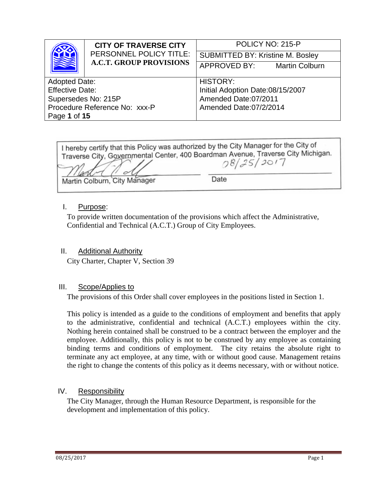| <b>CITY OF TRAVERSE CITY</b>  |                                         | POLICY NO: 215-P                 |                       |
|-------------------------------|-----------------------------------------|----------------------------------|-----------------------|
| PERSONNEL POLICY TITLE:       | <b>SUBMITTED BY: Kristine M. Bosley</b> |                                  |                       |
|                               | <b>A.C.T. GROUP PROVISIONS</b>          | APPROVED BY:                     | <b>Martin Colburn</b> |
|                               |                                         |                                  |                       |
| <b>Adopted Date:</b>          |                                         | <b>HISTORY:</b>                  |                       |
| <b>Effective Date:</b>        |                                         | Initial Adoption Date:08/15/2007 |                       |
| Supersedes No: 215P           |                                         | Amended Date:07/2011             |                       |
| Procedure Reference No: xxx-P |                                         | Amended Date:07/2/2014           |                       |
| Page 1 of 15                  |                                         |                                  |                       |

I hereby certify that this Policy was authorized by the City Manager for the City of Traverse City, Governmental Center, 400 Boardman Avenue, Traverse City Michigan.  $08/25/2017$ Martin Colburn, City Manager Date

### I. Purpose:

To provide written documentation of the provisions which affect the Administrative, Confidential and Technical (A.C.T.) Group of City Employees.

### II. Additional Authority

City Charter, Chapter V, Section 39

#### III. Scope/Applies to

The provisions of this Order shall cover employees in the positions listed in Section 1.

This policy is intended as a guide to the conditions of employment and benefits that apply to the administrative, confidential and technical (A.C.T.) employees within the city. Nothing herein contained shall be construed to be a contract between the employer and the employee. Additionally, this policy is not to be construed by any employee as containing binding terms and conditions of employment. The city retains the absolute right to terminate any act employee, at any time, with or without good cause. Management retains the right to change the contents of this policy as it deems necessary, with or without notice.

### IV. Responsibility

The City Manager, through the Human Resource Department, is responsible for the development and implementation of this policy.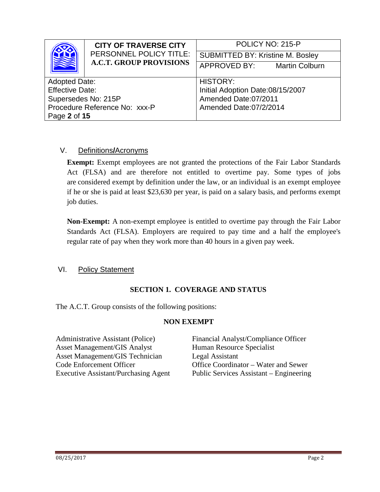| <b>CITY OF TRAVERSE CITY</b><br>PERSONNEL POLICY TITLE:<br><b>A.C.T. GROUP PROVISIONS</b> |                                       | POLICY NO: 215-P                        |  |
|-------------------------------------------------------------------------------------------|---------------------------------------|-----------------------------------------|--|
|                                                                                           |                                       | <b>SUBMITTED BY: Kristine M. Bosley</b> |  |
|                                                                                           | APPROVED BY:<br><b>Martin Colburn</b> |                                         |  |
|                                                                                           |                                       |                                         |  |
| <b>Adopted Date:</b>                                                                      |                                       | <b>HISTORY:</b>                         |  |
| <b>Effective Date:</b>                                                                    |                                       | Initial Adoption Date:08/15/2007        |  |
| Supersedes No: 215P                                                                       |                                       | Amended Date:07/2011                    |  |
| Procedure Reference No: xxx-P                                                             |                                       | Amended Date:07/2/2014                  |  |
| Page 2 of 15                                                                              |                                       |                                         |  |

# V. Definitions**/**Acronyms

**Exempt:** Exempt employees are not granted the protections of the Fair Labor Standards Act (FLSA) and are therefore not entitled to overtime pay. Some types of jobs are [considered exempt by definition under the law,](https://webapps.dol.gov/elaws/whd/flsa/screen75.asp) or an individual is an exempt employee if he or she is paid at least \$23,630 per year, is paid on a salary basis, and performs exempt job duties.

**Non-Exempt:** A non-exempt employee is entitled to overtime pay through the Fair Labor Standards Act (FLSA). Employers are required to pay time and a half the employee's regular rate of pay when they work more than 40 hours in a given pay week.

### VI. Policy Statement

### **SECTION 1. COVERAGE AND STATUS**

The A.C.T. Group consists of the following positions:

#### **NON EXEMPT**

| Financial Analyst/Compliance Officer    |
|-----------------------------------------|
| Human Resource Specialist               |
| Legal Assistant                         |
| Office Coordinator – Water and Sewer    |
| Public Services Assistant – Engineering |
|                                         |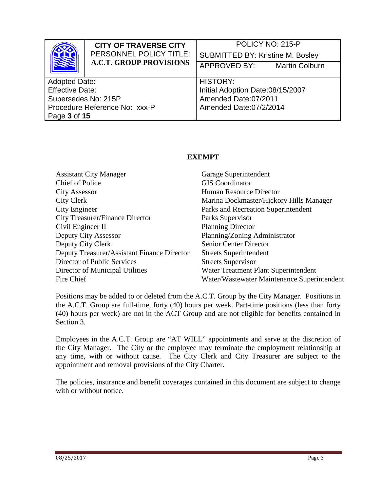|                               | <b>CITY OF TRAVERSE CITY</b><br>PERSONNEL POLICY TITLE:<br><b>A.C.T. GROUP PROVISIONS</b> | POLICY NO: 215-P                        |  |
|-------------------------------|-------------------------------------------------------------------------------------------|-----------------------------------------|--|
|                               |                                                                                           | <b>SUBMITTED BY: Kristine M. Bosley</b> |  |
|                               |                                                                                           | APPROVED BY:<br><b>Martin Colburn</b>   |  |
|                               |                                                                                           |                                         |  |
| <b>Adopted Date:</b>          |                                                                                           | <b>HISTORY:</b>                         |  |
| <b>Effective Date:</b>        |                                                                                           | Initial Adoption Date:08/15/2007        |  |
| Supersedes No: 215P           |                                                                                           | Amended Date:07/2011                    |  |
| Procedure Reference No: xxx-P |                                                                                           | Amended Date:07/2/2014                  |  |
| Page 3 of 15                  |                                                                                           |                                         |  |

### **EXEMPT**

| <b>Assistant City Manager</b>               | Garage Superintendent                       |
|---------------------------------------------|---------------------------------------------|
| <b>Chief of Police</b>                      | <b>GIS</b> Coordinator                      |
| <b>City Assessor</b>                        | Human Resource Director                     |
| City Clerk                                  | Marina Dockmaster/Hickory Hills Manager     |
| City Engineer                               | Parks and Recreation Superintendent         |
| <b>City Treasurer/Finance Director</b>      | Parks Supervisor                            |
| Civil Engineer II                           | <b>Planning Director</b>                    |
| Deputy City Assessor                        | Planning/Zoning Administrator               |
| Deputy City Clerk                           | <b>Senior Center Director</b>               |
| Deputy Treasurer/Assistant Finance Director | <b>Streets Superintendent</b>               |
| Director of Public Services                 | <b>Streets Supervisor</b>                   |
| Director of Municipal Utilities             | Water Treatment Plant Superintendent        |
| Fire Chief                                  | Water/Wastewater Maintenance Superintendent |

Positions may be added to or deleted from the A.C.T. Group by the City Manager. Positions in the A.C.T. Group are full-time, forty (40) hours per week. Part-time positions (less than forty (40) hours per week) are not in the ACT Group and are not eligible for benefits contained in Section 3.

Employees in the A.C.T. Group are "AT WILL" appointments and serve at the discretion of the City Manager. The City or the employee may terminate the employment relationship at any time, with or without cause. The City Clerk and City Treasurer are subject to the appointment and removal provisions of the City Charter.

The policies, insurance and benefit coverages contained in this document are subject to change with or without notice.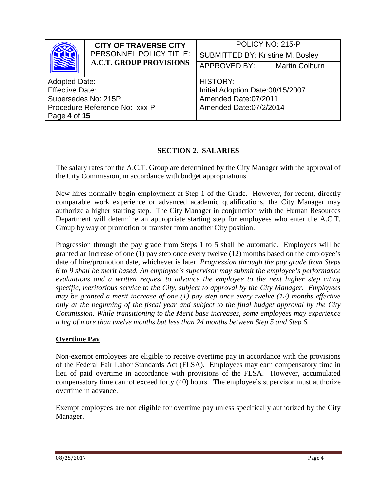| <b>CITY OF TRAVERSE CITY</b><br>PERSONNEL POLICY TITLE: |                                         | POLICY NO: 215-P                 |                       |
|---------------------------------------------------------|-----------------------------------------|----------------------------------|-----------------------|
|                                                         | <b>SUBMITTED BY: Kristine M. Bosley</b> |                                  |                       |
|                                                         | <b>A.C.T. GROUP PROVISIONS</b>          | APPROVED BY:                     | <b>Martin Colburn</b> |
|                                                         |                                         |                                  |                       |
| <b>Adopted Date:</b>                                    |                                         | <b>HISTORY:</b>                  |                       |
| <b>Effective Date:</b>                                  |                                         | Initial Adoption Date:08/15/2007 |                       |
| Supersedes No: 215P                                     |                                         | Amended Date:07/2011             |                       |
| Procedure Reference No: xxx-P                           |                                         | Amended Date:07/2/2014           |                       |
| Page 4 of 15                                            |                                         |                                  |                       |

# **SECTION 2. SALARIES**

The salary rates for the A.C.T. Group are determined by the City Manager with the approval of the City Commission, in accordance with budget appropriations.

New hires normally begin employment at Step 1 of the Grade. However, for recent, directly comparable work experience or advanced academic qualifications, the City Manager may authorize a higher starting step. The City Manager in conjunction with the Human Resources Department will determine an appropriate starting step for employees who enter the A.C.T. Group by way of promotion or transfer from another City position.

Progression through the pay grade from Steps 1 to 5 shall be automatic. Employees will be granted an increase of one (1) pay step once every twelve (12) months based on the employee's date of hire/promotion date, whichever is later. *Progression through the pay grade from Steps 6 to 9 shall be merit based. An employee's supervisor may submit the employee's performance evaluations and a written request to advance the employee to the next higher step citing specific, meritorious service to the City, subject to approval by the City Manager. Employees may be granted a merit increase of one (1) pay step once every twelve (12) months effective only at the beginning of the fiscal year and subject to the final budget approval by the City Commission. While transitioning to the Merit base increases, some employees may experience a lag of more than twelve months but less than 24 months between Step 5 and Step 6.*

### **Overtime Pay**

Non-exempt employees are eligible to receive overtime pay in accordance with the provisions of the Federal Fair Labor Standards Act (FLSA). Employees may earn compensatory time in lieu of paid overtime in accordance with provisions of the FLSA. However, accumulated compensatory time cannot exceed forty (40) hours. The employee's supervisor must authorize overtime in advance.

Exempt employees are not eligible for overtime pay unless specifically authorized by the City Manager.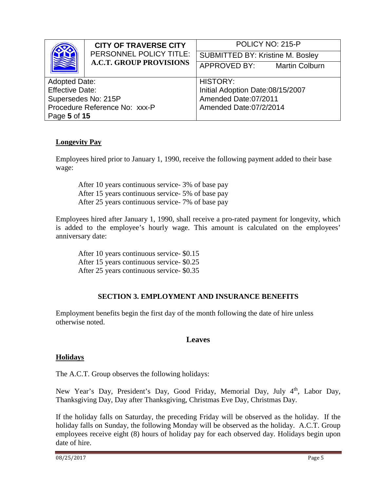| <b>CITY OF TRAVERSE CITY</b><br>PERSONNEL POLICY TITLE:<br><b>A.C.T. GROUP PROVISIONS</b> |                                       | POLICY NO: 215-P                        |  |
|-------------------------------------------------------------------------------------------|---------------------------------------|-----------------------------------------|--|
|                                                                                           |                                       | <b>SUBMITTED BY: Kristine M. Bosley</b> |  |
|                                                                                           | APPROVED BY:<br><b>Martin Colburn</b> |                                         |  |
|                                                                                           |                                       | <b>HISTORY:</b>                         |  |
| <b>Adopted Date:</b>                                                                      |                                       |                                         |  |
| <b>Effective Date:</b>                                                                    |                                       | Initial Adoption Date:08/15/2007        |  |
| Supersedes No: 215P                                                                       |                                       | Amended Date:07/2011                    |  |
| Procedure Reference No: xxx-P                                                             |                                       | Amended Date:07/2/2014                  |  |
| Page 5 of 15                                                                              |                                       |                                         |  |

# **Longevity Pay**

Employees hired prior to January 1, 1990, receive the following payment added to their base wage:

After 10 years continuous service- 3% of base pay After 15 years continuous service- 5% of base pay After 25 years continuous service- 7% of base pay

Employees hired after January 1, 1990, shall receive a pro-rated payment for longevity, which is added to the employee's hourly wage. This amount is calculated on the employees' anniversary date:

After 10 years continuous service- \$0.15 After 15 years continuous service- \$0.25 After 25 years continuous service- \$0.35

### **SECTION 3. EMPLOYMENT AND INSURANCE BENEFITS**

Employment benefits begin the first day of the month following the date of hire unless otherwise noted.

### **Leaves**

### **Holidays**

The A.C.T. Group observes the following holidays:

New Year's Day, President's Day, Good Friday, Memorial Day, July 4<sup>th</sup>, Labor Day, Thanksgiving Day, Day after Thanksgiving, Christmas Eve Day, Christmas Day.

If the holiday falls on Saturday, the preceding Friday will be observed as the holiday. If the holiday falls on Sunday, the following Monday will be observed as the holiday. A.C.T. Group employees receive eight (8) hours of holiday pay for each observed day. Holidays begin upon date of hire.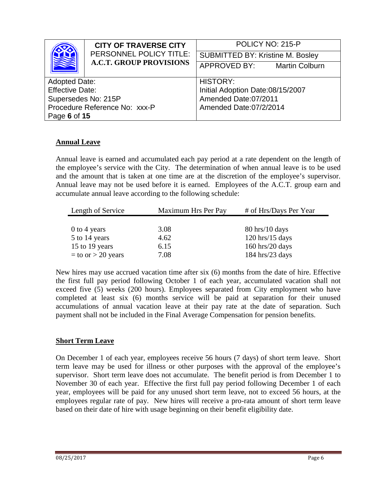|                               | <b>CITY OF TRAVERSE CITY</b>   | POLICY NO: 215-P                        |  |
|-------------------------------|--------------------------------|-----------------------------------------|--|
|                               | PERSONNEL POLICY TITLE:        | <b>SUBMITTED BY: Kristine M. Bosley</b> |  |
|                               | <b>A.C.T. GROUP PROVISIONS</b> | APPROVED BY:<br><b>Martin Colburn</b>   |  |
|                               |                                |                                         |  |
| <b>Adopted Date:</b>          |                                | <b>HISTORY:</b>                         |  |
| <b>Effective Date:</b>        |                                | Initial Adoption Date:08/15/2007        |  |
| Supersedes No: 215P           |                                | Amended Date:07/2011                    |  |
| Procedure Reference No: xxx-P |                                | Amended Date:07/2/2014                  |  |
| Page 6 of 15                  |                                |                                         |  |

# **Annual Leave**

Annual leave is earned and accumulated each pay period at a rate dependent on the length of the employee's service with the City. The determination of when annual leave is to be used and the amount that is taken at one time are at the discretion of the employee's supervisor. Annual leave may not be used before it is earned. Employees of the A.C.T. group earn and accumulate annual leave according to the following schedule:

| Length of Service      | Maximum Hrs Per Pay | # of Hrs/Days Per Year |
|------------------------|---------------------|------------------------|
|                        |                     |                        |
| $0$ to 4 years         | 3.08                | $80$ hrs/10 days       |
| 5 to 14 years          | 4.62                | $120$ hrs/ $15$ days   |
| 15 to 19 years         | 6.15                | $160$ hrs/20 days      |
| $=$ to or $>$ 20 years | 7.08                | $184$ hrs/23 days      |

New hires may use accrued vacation time after six (6) months from the date of hire. Effective the first full pay period following October 1 of each year, accumulated vacation shall not exceed five (5) weeks (200 hours). Employees separated from City employment who have completed at least six (6) months service will be paid at separation for their unused accumulations of annual vacation leave at their pay rate at the date of separation. Such payment shall not be included in the Final Average Compensation for pension benefits.

### **Short Term Leave**

On December 1 of each year, employees receive 56 hours (7 days) of short term leave. Short term leave may be used for illness or other purposes with the approval of the employee's supervisor. Short term leave does not accumulate. The benefit period is from December 1 to November 30 of each year. Effective the first full pay period following December 1 of each year, employees will be paid for any unused short term leave, not to exceed 56 hours, at the employees regular rate of pay. New hires will receive a pro-rata amount of short term leave based on their date of hire with usage beginning on their benefit eligibility date.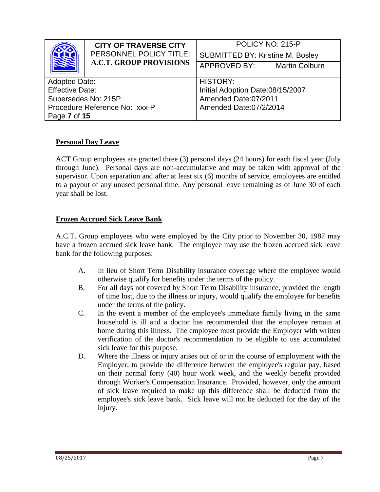|                               | <b>CITY OF TRAVERSE CITY</b>   | POLICY NO: 215-P                        |  |
|-------------------------------|--------------------------------|-----------------------------------------|--|
|                               | PERSONNEL POLICY TITLE:        | <b>SUBMITTED BY: Kristine M. Bosley</b> |  |
|                               | <b>A.C.T. GROUP PROVISIONS</b> | APPROVED BY:<br><b>Martin Colburn</b>   |  |
|                               |                                |                                         |  |
| <b>Adopted Date:</b>          |                                | <b>HISTORY:</b>                         |  |
| <b>Effective Date:</b>        |                                | Initial Adoption Date:08/15/2007        |  |
| Supersedes No: 215P           |                                | Amended Date:07/2011                    |  |
| Procedure Reference No: xxx-P |                                | Amended Date:07/2/2014                  |  |
| Page 7 of 15                  |                                |                                         |  |

# **Personal Day Leave**

ACT Group employees are granted three (3) personal days (24 hours) for each fiscal year (July through June). Personal days are non-accumulative and may be taken with approval of the supervisor. Upon separation and after at least six (6) months of service, employees are entitled to a payout of any unused personal time. Any personal leave remaining as of June 30 of each year shall be lost.

#### **Frozen Accrued Sick Leave Bank**

A.C.T. Group employees who were employed by the City prior to November 30, 1987 may have a frozen accrued sick leave bank. The employee may use the frozen accrued sick leave bank for the following purposes:

- A. In lieu of Short Term Disability insurance coverage where the employee would otherwise qualify for benefits under the terms of the policy.
- B. For all days not covered by Short Term Disability insurance, provided the length of time lost, due to the illness or injury, would qualify the employee for benefits under the terms of the policy.
- C. In the event a member of the employee's immediate family living in the same household is ill and a doctor has recommended that the employee remain at home during this illness. The employee must provide the Employer with written verification of the doctor's recommendation to be eligible to use accumulated sick leave for this purpose.
- D. Where the illness or injury arises out of or in the course of employment with the Employer; to provide the difference between the employee's regular pay, based on their normal forty (40) hour work week, and the weekly benefit provided through Worker's Compensation Insurance. Provided, however, only the amount of sick leave required to make up this difference shall be deducted from the employee's sick leave bank. Sick leave will not be deducted for the day of the injury.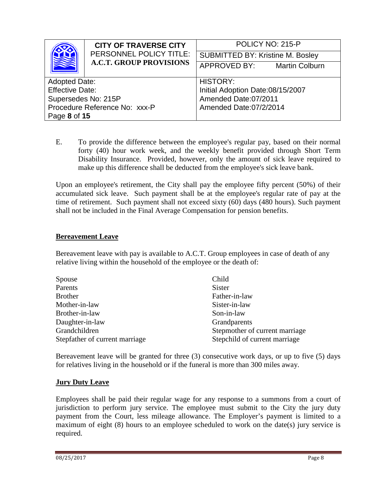| <b>CITY OF TRAVERSE CITY</b>                              |                                         | POLICY NO: 215-P                 |  |
|-----------------------------------------------------------|-----------------------------------------|----------------------------------|--|
| PERSONNEL POLICY TITLE:<br><b>A.C.T. GROUP PROVISIONS</b> | <b>SUBMITTED BY: Kristine M. Bosley</b> |                                  |  |
|                                                           | APPROVED BY:<br><b>Martin Colburn</b>   |                                  |  |
|                                                           |                                         |                                  |  |
| <b>Adopted Date:</b>                                      |                                         | <b>HISTORY:</b>                  |  |
| <b>Effective Date:</b>                                    |                                         | Initial Adoption Date:08/15/2007 |  |
| Supersedes No: 215P                                       |                                         | Amended Date:07/2011             |  |
| Procedure Reference No: xxx-P                             |                                         | Amended Date:07/2/2014           |  |
| Page 8 of 15                                              |                                         |                                  |  |

E. To provide the difference between the employee's regular pay, based on their normal forty (40) hour work week, and the weekly benefit provided through Short Term Disability Insurance. Provided, however, only the amount of sick leave required to make up this difference shall be deducted from the employee's sick leave bank.

Upon an employee's retirement, the City shall pay the employee fifty percent (50%) of their accumulated sick leave. Such payment shall be at the employee's regular rate of pay at the time of retirement. Such payment shall not exceed sixty (60) days (480 hours). Such payment shall not be included in the Final Average Compensation for pension benefits.

### **Bereavement Leave**

Bereavement leave with pay is available to A.C.T. Group employees in case of death of any relative living within the household of the employee or the death of:

| Spouse                         | Child                          |
|--------------------------------|--------------------------------|
| Parents                        | <b>Sister</b>                  |
| <b>Brother</b>                 | Father-in-law                  |
| Mother-in-law                  | Sister-in-law                  |
| Brother-in-law                 | Son-in-law                     |
| Daughter-in-law                | Grandparents                   |
| Grandchildren                  | Stepmother of current marriage |
| Stepfather of current marriage | Stepchild of current marriage  |

Bereavement leave will be granted for three (3) consecutive work days, or up to five (5) days for relatives living in the household or if the funeral is more than 300 miles away.

### **Jury Duty Leave**

Employees shall be paid their regular wage for any response to a summons from a court of jurisdiction to perform jury service. The employee must submit to the City the jury duty payment from the Court, less mileage allowance. The Employer's payment is limited to a maximum of eight (8) hours to an employee scheduled to work on the date(s) jury service is required.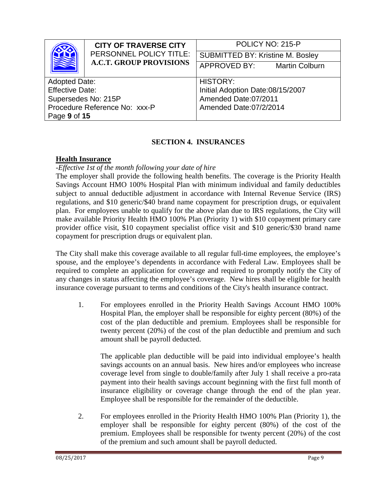|                               | <b>CITY OF TRAVERSE CITY</b>   | POLICY NO: 215-P                        |
|-------------------------------|--------------------------------|-----------------------------------------|
|                               | PERSONNEL POLICY TITLE:        | <b>SUBMITTED BY: Kristine M. Bosley</b> |
|                               | <b>A.C.T. GROUP PROVISIONS</b> | APPROVED BY:<br><b>Martin Colburn</b>   |
|                               |                                |                                         |
| <b>Adopted Date:</b>          |                                | <b>HISTORY:</b>                         |
| <b>Effective Date:</b>        |                                | Initial Adoption Date:08/15/2007        |
| Supersedes No: 215P           |                                | Amended Date:07/2011                    |
| Procedure Reference No: xxx-P |                                | Amended Date:07/2/2014                  |
| Page 9 of 15                  |                                |                                         |

# **SECTION 4. INSURANCES**

### **Health Insurance**

#### *-Effective 1st of the month following your date of hire*

The employer shall provide the following health benefits. The coverage is the Priority Health Savings Account HMO 100% Hospital Plan with minimum individual and family deductibles subject to annual deductible adjustment in accordance with Internal Revenue Service (IRS) regulations, and \$10 generic/\$40 brand name copayment for prescription drugs, or equivalent plan. For employees unable to qualify for the above plan due to IRS regulations, the City will make available Priority Health HMO 100% Plan (Priority 1) with \$10 copayment primary care provider office visit, \$10 copayment specialist office visit and \$10 generic/\$30 brand name copayment for prescription drugs or equivalent plan.

The City shall make this coverage available to all regular full-time employees, the employee's spouse, and the employee's dependents in accordance with Federal Law. Employees shall be required to complete an application for coverage and required to promptly notify the City of any changes in status affecting the employee's coverage. New hires shall be eligible for health insurance coverage pursuant to terms and conditions of the City's health insurance contract.

1. For employees enrolled in the Priority Health Savings Account HMO 100% Hospital Plan, the employer shall be responsible for eighty percent (80%) of the cost of the plan deductible and premium. Employees shall be responsible for twenty percent (20%) of the cost of the plan deductible and premium and such amount shall be payroll deducted.

The applicable plan deductible will be paid into individual employee's health savings accounts on an annual basis. New hires and/or employees who increase coverage level from single to double/family after July 1 shall receive a pro-rata payment into their health savings account beginning with the first full month of insurance eligibility or coverage change through the end of the plan year. Employee shall be responsible for the remainder of the deductible.

2. For employees enrolled in the Priority Health HMO 100% Plan (Priority 1), the employer shall be responsible for eighty percent (80%) of the cost of the premium. Employees shall be responsible for twenty percent (20%) of the cost of the premium and such amount shall be payroll deducted.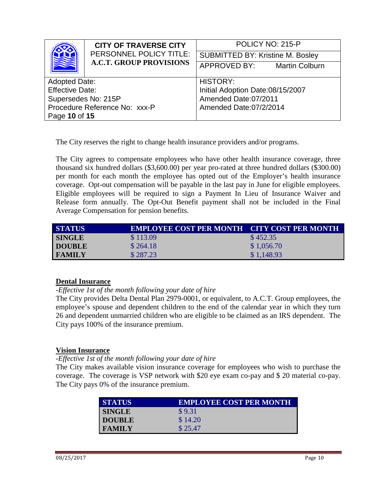|                               | <b>CITY OF TRAVERSE CITY</b>   | POLICY NO: 215-P                        |  |
|-------------------------------|--------------------------------|-----------------------------------------|--|
|                               | PERSONNEL POLICY TITLE:        | <b>SUBMITTED BY: Kristine M. Bosley</b> |  |
|                               | <b>A.C.T. GROUP PROVISIONS</b> | APPROVED BY:<br><b>Martin Colburn</b>   |  |
|                               |                                |                                         |  |
| <b>Adopted Date:</b>          |                                | <b>HISTORY:</b>                         |  |
| <b>Effective Date:</b>        |                                | Initial Adoption Date:08/15/2007        |  |
| Supersedes No: 215P           |                                | Amended Date:07/2011                    |  |
| Procedure Reference No: xxx-P |                                | Amended Date:07/2/2014                  |  |
| Page 10 of 15                 |                                |                                         |  |

The City reserves the right to change health insurance providers and/or programs.

The City agrees to compensate employees who have other health insurance coverage, three thousand six hundred dollars (\$3,600.00) per year pro-rated at three hundred dollars (\$300.00) per month for each month the employee has opted out of the Employer's health insurance coverage. Opt-out compensation will be payable in the last pay in June for eligible employees. Eligible employees will be required to sign a Payment In Lieu of Insurance Waiver and Release form annually. The Opt-Out Benefit payment shall not be included in the Final Average Compensation for pension benefits.

| <b>STATUS</b> | <b>EMPLOYEE COST PER MONTH CITY COST PER MONTH</b> |            |
|---------------|----------------------------------------------------|------------|
| <b>SINGLE</b> | \$113.09                                           | \$452.35   |
| <b>DOUBLE</b> | \$264.18                                           | \$1,056.70 |
| <b>FAMILY</b> | \$287.23                                           | \$1,148.93 |

### **Dental Insurance**

*-Effective 1st of the month following your date of hire*

The City provides Delta Dental Plan 2979-0001, or equivalent, to A.C.T. Group employees, the employee's spouse and dependent children to the end of the calendar year in which they turn 26 and dependent unmarried children who are eligible to be claimed as an IRS dependent. The City pays 100% of the insurance premium.

### **Vision Insurance**

### *-Effective 1st of the month following your date of hire*

The City makes available vision insurance coverage for employees who wish to purchase the coverage. The coverage is VSP network with \$20 eye exam co-pay and \$ 20 material co-pay. The City pays 0% of the insurance premium.

| <b>STATUS</b> | <b>EMPLOYEE COST PER MONTH</b> |
|---------------|--------------------------------|
| <b>SINGLE</b> | \$9.31                         |
| <b>DOUBLE</b> | \$14.20                        |
| <b>FAMILY</b> | \$25.47                        |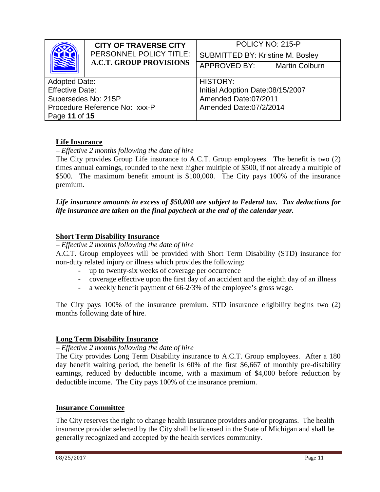|                               | <b>CITY OF TRAVERSE CITY</b>   | POLICY NO: 215-P                        |
|-------------------------------|--------------------------------|-----------------------------------------|
|                               | PERSONNEL POLICY TITLE:        | <b>SUBMITTED BY: Kristine M. Bosley</b> |
|                               | <b>A.C.T. GROUP PROVISIONS</b> | APPROVED BY:<br><b>Martin Colburn</b>   |
|                               |                                |                                         |
| <b>Adopted Date:</b>          |                                | <b>HISTORY:</b>                         |
| <b>Effective Date:</b>        |                                | Initial Adoption Date:08/15/2007        |
| Supersedes No: 215P           |                                | Amended Date:07/2011                    |
| Procedure Reference No: xxx-P |                                | Amended Date:07/2/2014                  |
| Page 11 of 15                 |                                |                                         |

# **Life Insurance**

– *Effective 2 months following the date of hire*

The City provides Group Life insurance to A.C.T. Group employees. The benefit is two (2) times annual earnings, rounded to the next higher multiple of \$500, if not already a multiple of \$500. The maximum benefit amount is \$100,000. The City pays 100% of the insurance premium.

### *Life insurance amounts in excess of \$50,000 are subject to Federal tax. Tax deductions for life insurance are taken on the final paycheck at the end of the calendar year.*

### **Short Term Disability Insurance**

– *Effective 2 months following the date of hire*

A.C.T. Group employees will be provided with Short Term Disability (STD) insurance for non-duty related injury or illness which provides the following:

- up to twenty-six weeks of coverage per occurrence
- coverage effective upon the first day of an accident and the eighth day of an illness
- a weekly benefit payment of 66-2/3% of the employee's gross wage.

The City pays 100% of the insurance premium. STD insurance eligibility begins two (2) months following date of hire.

### **Long Term Disability Insurance**

#### – *Effective 2 months following the date of hire*

The City provides Long Term Disability insurance to A.C.T. Group employees. After a 180 day benefit waiting period, the benefit is 60% of the first \$6,667 of monthly pre-disability earnings, reduced by deductible income, with a maximum of \$4,000 before reduction by deductible income. The City pays 100% of the insurance premium.

#### **Insurance Committee**

The City reserves the right to change health insurance providers and/or programs. The health insurance provider selected by the City shall be licensed in the State of Michigan and shall be generally recognized and accepted by the health services community.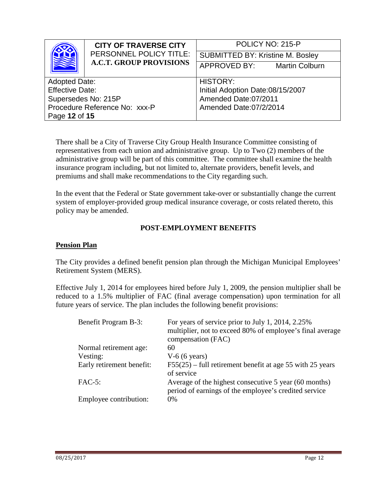|                               | <b>CITY OF TRAVERSE CITY</b>   | POLICY NO: 215-P                        |
|-------------------------------|--------------------------------|-----------------------------------------|
|                               | PERSONNEL POLICY TITLE:        | <b>SUBMITTED BY: Kristine M. Bosley</b> |
|                               | <b>A.C.T. GROUP PROVISIONS</b> | APPROVED BY:<br><b>Martin Colburn</b>   |
|                               |                                |                                         |
| <b>Adopted Date:</b>          |                                | <b>HISTORY:</b>                         |
| <b>Effective Date:</b>        |                                | Initial Adoption Date:08/15/2007        |
| Supersedes No: 215P           |                                | Amended Date:07/2011                    |
| Procedure Reference No: xxx-P |                                | Amended Date:07/2/2014                  |
| Page 12 of 15                 |                                |                                         |

There shall be a City of Traverse City Group Health Insurance Committee consisting of representatives from each union and administrative group. Up to Two (2) members of the administrative group will be part of this committee. The committee shall examine the health insurance program including, but not limited to, alternate providers, benefit levels, and premiums and shall make recommendations to the City regarding such.

In the event that the Federal or State government take-over or substantially change the current system of employer-provided group medical insurance coverage, or costs related thereto, this policy may be amended.

# **POST-EMPLOYMENT BENEFITS**

#### **Pension Plan**

The City provides a defined benefit pension plan through the Michigan Municipal Employees' Retirement System (MERS).

Effective July 1, 2014 for employees hired before July 1, 2009, the pension multiplier shall be reduced to a 1.5% multiplier of FAC (final average compensation) upon termination for all future years of service. The plan includes the following benefit provisions:

| Benefit Program B-3:      | For years of service prior to July 1, 2014, 2.25%<br>multiplier, not to exceed 80% of employee's final average<br>compensation (FAC) |
|---------------------------|--------------------------------------------------------------------------------------------------------------------------------------|
| Normal retirement age:    | 60                                                                                                                                   |
| Vesting:                  | $V-6$ (6 years)                                                                                                                      |
| Early retirement benefit: | $F55(25)$ – full retirement benefit at age 55 with 25 years<br>of service                                                            |
| $FAC-5$ :                 | Average of the highest consecutive 5 year (60 months)<br>period of earnings of the employee's credited service                       |
| Employee contribution:    | $0\%$                                                                                                                                |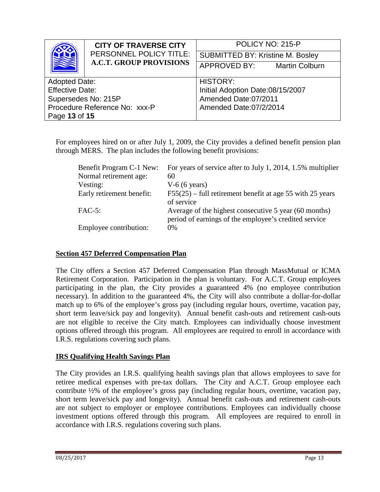|                               | <b>CITY OF TRAVERSE CITY</b>   | POLICY NO: 215-P                        |
|-------------------------------|--------------------------------|-----------------------------------------|
|                               | PERSONNEL POLICY TITLE:        | <b>SUBMITTED BY: Kristine M. Bosley</b> |
|                               | <b>A.C.T. GROUP PROVISIONS</b> | APPROVED BY:<br><b>Martin Colburn</b>   |
|                               |                                |                                         |
| <b>Adopted Date:</b>          |                                | <b>HISTORY:</b>                         |
| <b>Effective Date:</b>        |                                | Initial Adoption Date:08/15/2007        |
| Supersedes No: 215P           |                                | Amended Date:07/2011                    |
| Procedure Reference No: xxx-P |                                | Amended Date:07/2/2014                  |
| Page 13 of 15                 |                                |                                         |

For employees hired on or after July 1, 2009, the City provides a defined benefit pension plan through MERS. The plan includes the following benefit provisions:

| Benefit Program C-1 New:  | For years of service after to July 1, 2014, 1.5% multiplier                                                    |
|---------------------------|----------------------------------------------------------------------------------------------------------------|
| Normal retirement age:    | 60                                                                                                             |
| Vesting:                  | $V-6$ (6 years)                                                                                                |
| Early retirement benefit: | $F55(25)$ – full retirement benefit at age 55 with 25 years<br>of service                                      |
| $FAC-5$ :                 | Average of the highest consecutive 5 year (60 months)<br>period of earnings of the employee's credited service |
| Employee contribution:    | $0\%$                                                                                                          |

### **Section 457 Deferred Compensation Plan**

The City offers a Section 457 Deferred Compensation Plan through MassMutual or ICMA Retirement Corporation. Participation in the plan is voluntary. For A.C.T. Group employees participating in the plan, the City provides a guaranteed 4% (no employee contribution necessary). In addition to the guaranteed 4%, the City will also contribute a dollar-for-dollar match up to 6% of the employee's gross pay (including regular hours, overtime, vacation pay, short term leave/sick pay and longevity). Annual benefit cash-outs and retirement cash-outs are not eligible to receive the City match. Employees can individually choose investment options offered through this program. All employees are required to enroll in accordance with I.R.S. regulations covering such plans.

### **IRS Qualifying Health Savings Plan**

The City provides an I.R.S. qualifying health savings plan that allows employees to save for retiree medical expenses with pre-tax dollars. The City and A.C.T. Group employee each contribute ½% of the employee's gross pay (including regular hours, overtime, vacation pay, short term leave/sick pay and longevity). Annual benefit cash-outs and retirement cash-outs are not subject to employer or employee contributions. Employees can individually choose investment options offered through this program. All employees are required to enroll in accordance with I.R.S. regulations covering such plans.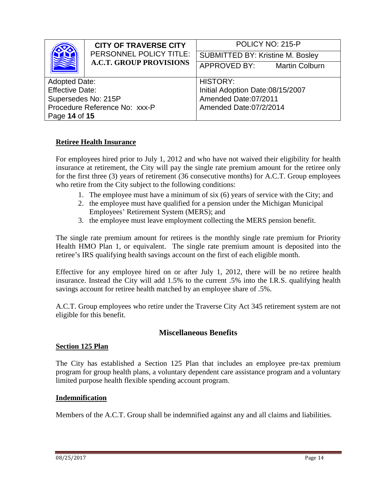|                               | <b>CITY OF TRAVERSE CITY</b>   | POLICY NO: 215-P                        |  |
|-------------------------------|--------------------------------|-----------------------------------------|--|
|                               | PERSONNEL POLICY TITLE:        | <b>SUBMITTED BY: Kristine M. Bosley</b> |  |
|                               | <b>A.C.T. GROUP PROVISIONS</b> | APPROVED BY:<br><b>Martin Colburn</b>   |  |
|                               |                                |                                         |  |
| <b>Adopted Date:</b>          |                                | <b>HISTORY:</b>                         |  |
| <b>Effective Date:</b>        |                                | Initial Adoption Date:08/15/2007        |  |
| Supersedes No: 215P           |                                | Amended Date:07/2011                    |  |
| Procedure Reference No: xxx-P |                                | Amended Date:07/2/2014                  |  |
| Page 14 of 15                 |                                |                                         |  |

### **Retiree Health Insurance**

For employees hired prior to July 1, 2012 and who have not waived their eligibility for health insurance at retirement, the City will pay the single rate premium amount for the retiree only for the first three (3) years of retirement (36 consecutive months) for A.C.T. Group employees who retire from the City subject to the following conditions:

- 1. The employee must have a minimum of six (6) years of service with the City; and
- 2. the employee must have qualified for a pension under the Michigan Municipal Employees' Retirement System (MERS); and
- 3. the employee must leave employment collecting the MERS pension benefit.

The single rate premium amount for retirees is the monthly single rate premium for Priority Health HMO Plan 1, or equivalent. The single rate premium amount is deposited into the retiree's IRS qualifying health savings account on the first of each eligible month.

Effective for any employee hired on or after July 1, 2012, there will be no retiree health insurance. Instead the City will add 1.5% to the current .5% into the I.R.S. qualifying health savings account for retiree health matched by an employee share of .5%.

A.C.T. Group employees who retire under the Traverse City Act 345 retirement system are not eligible for this benefit.

### **Miscellaneous Benefits**

#### **Section 125 Plan**

The City has established a Section 125 Plan that includes an employee pre-tax premium program for group health plans, a voluntary dependent care assistance program and a voluntary limited purpose health flexible spending account program.

### **Indemnification**

Members of the A.C.T. Group shall be indemnified against any and all claims and liabilities.